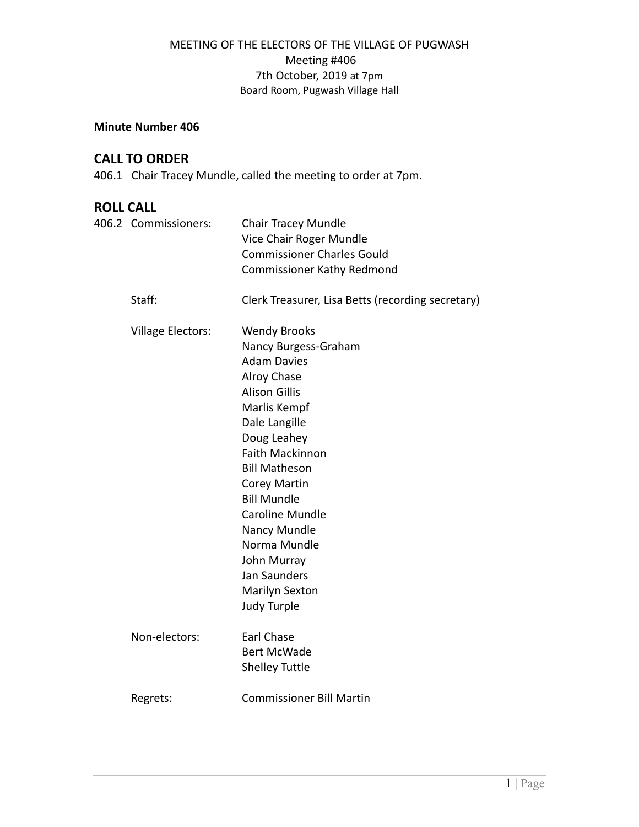# MEETING OF THE ELECTORS OF THE VILLAGE OF PUGWASH Meeting #406 7th October, 2019 at 7pm Board Room, Pugwash Village Hall

### **Minute Number 406**

# **CALL TO ORDER**

406.1 Chair Tracey Mundle, called the meeting to order at 7pm.

# **ROLL CALL**

| 406.2 Commissioners:     | <b>Chair Tracey Mundle</b><br>Vice Chair Roger Mundle<br><b>Commissioner Charles Gould</b><br><b>Commissioner Kathy Redmond</b>                                                                                                                                                                                                                                                   |
|--------------------------|-----------------------------------------------------------------------------------------------------------------------------------------------------------------------------------------------------------------------------------------------------------------------------------------------------------------------------------------------------------------------------------|
| Staff:                   | Clerk Treasurer, Lisa Betts (recording secretary)                                                                                                                                                                                                                                                                                                                                 |
| <b>Village Electors:</b> | <b>Wendy Brooks</b><br>Nancy Burgess-Graham<br><b>Adam Davies</b><br>Alroy Chase<br><b>Alison Gillis</b><br>Marlis Kempf<br>Dale Langille<br>Doug Leahey<br><b>Faith Mackinnon</b><br><b>Bill Matheson</b><br>Corey Martin<br><b>Bill Mundle</b><br><b>Caroline Mundle</b><br>Nancy Mundle<br>Norma Mundle<br>John Murray<br>Jan Saunders<br>Marilyn Sexton<br><b>Judy Turple</b> |
| Non-electors:            | Earl Chase<br><b>Bert McWade</b><br><b>Shelley Tuttle</b>                                                                                                                                                                                                                                                                                                                         |
| Regrets:                 | <b>Commissioner Bill Martin</b>                                                                                                                                                                                                                                                                                                                                                   |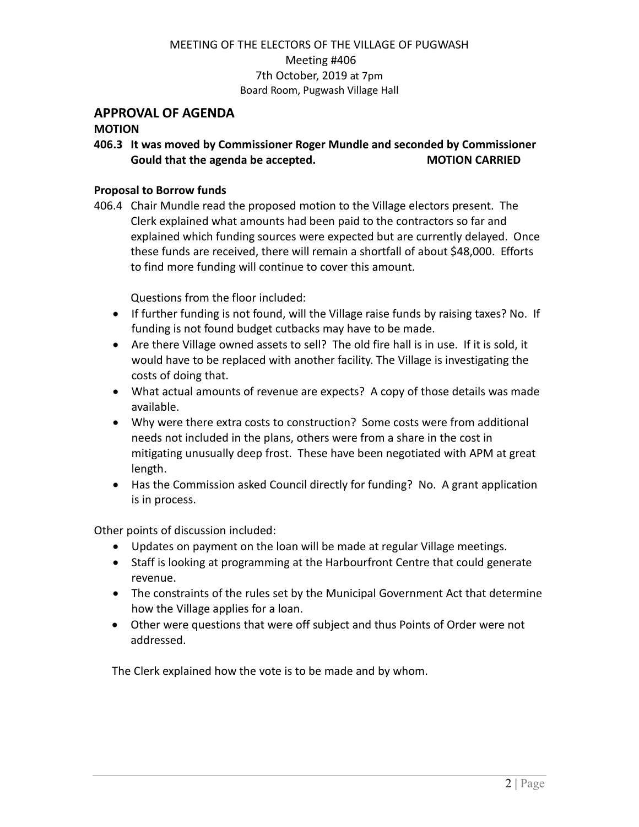# MEETING OF THE ELECTORS OF THE VILLAGE OF PUGWASH Meeting #406 7th October, 2019 at 7pm Board Room, Pugwash Village Hall

## **APPROVAL OF AGENDA**

### **MOTION**

**406.3 It was moved by Commissioner Roger Mundle and seconded by Commissioner Gould that the agenda be accepted. MOTION CARRIED**

#### **Proposal to Borrow funds**

406.4 Chair Mundle read the proposed motion to the Village electors present. The Clerk explained what amounts had been paid to the contractors so far and explained which funding sources were expected but are currently delayed. Once these funds are received, there will remain a shortfall of about \$48,000. Efforts to find more funding will continue to cover this amount.

Questions from the floor included:

- If further funding is not found, will the Village raise funds by raising taxes? No. If funding is not found budget cutbacks may have to be made.
- Are there Village owned assets to sell? The old fire hall is in use. If it is sold, it would have to be replaced with another facility. The Village is investigating the costs of doing that.
- What actual amounts of revenue are expects? A copy of those details was made available.
- Why were there extra costs to construction? Some costs were from additional needs not included in the plans, others were from a share in the cost in mitigating unusually deep frost. These have been negotiated with APM at great length.
- Has the Commission asked Council directly for funding? No. A grant application is in process.

Other points of discussion included:

- Updates on payment on the loan will be made at regular Village meetings.
- Staff is looking at programming at the Harbourfront Centre that could generate revenue.
- The constraints of the rules set by the Municipal Government Act that determine how the Village applies for a loan.
- Other were questions that were off subject and thus Points of Order were not addressed.

The Clerk explained how the vote is to be made and by whom.